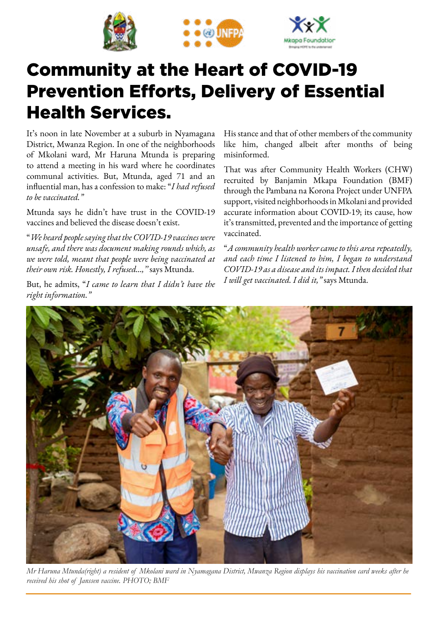





## Community at the Heart of COVID-19 Prevention Efforts, Delivery of Essential Health Services.

It's noon in late November at a suburb in Nyamagana District, Mwanza Region. In one of the neighborhoods of Mkolani ward, Mr Haruna Mtunda is preparing to attend a meeting in his ward where he coordinates communal activities. But, Mtunda, aged 71 and an influential man, has a confession to make: "*I had refused to be vaccinated."* 

Mtunda says he didn't have trust in the COVID-19 vaccines and believed the disease doesn't exist.

"*We heard people saying that the COVID-19 vaccines were unsafe, and there was document making rounds which, as we were told, meant that people were being vaccinated at their own risk. Honestly, I refused…,''* says Mtunda.

But, he admits, "*I came to learn that I didn't have the right information."*

His stance and that of other members of the community like him, changed albeit after months of being misinformed.

That was after Community Health Workers (CHW) recruited by Banjamin Mkapa Foundation (BMF) through the Pambana na Korona Project under UNFPA support, visited neighborhoods in Mkolani and provided accurate information about COVID-19; its cause, how it's transmitted, prevented and the importance of getting vaccinated.

"*A community health worker came to this area repeatedly, and each time I listened to him, I began to understand COVID-19 as a disease and its impact. I then decided that I will get vaccinated. I did it,"* says Mtunda.



*Mr Haruna Mtunda(right) a resident of Mkolani ward in Nyamagana District, Mwanza Region displays his vaccination card weeks after he received his shot of Janssen vaccine. PHOTO; BMF*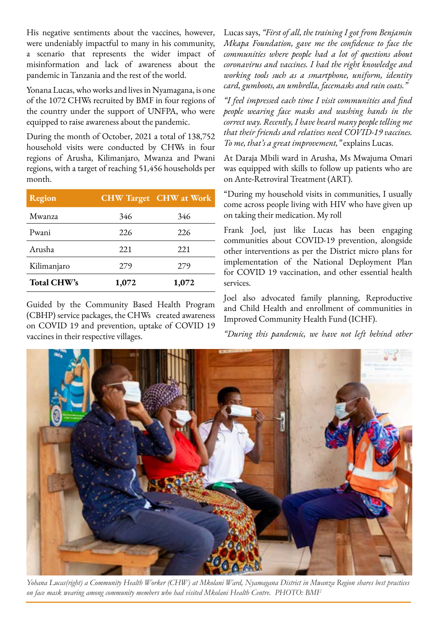His negative sentiments about the vaccines, however, were undeniably impactful to many in his community, a scenario that represents the wider impact of misinformation and lack of awareness about the pandemic in Tanzania and the rest of the world.

Yonana Lucas, who works and lives in Nyamagana, is one of the 1072 CHWs recruited by BMF in four regions of the country under the support of UNFPA, who were equipped to raise awareness about the pandemic.

During the month of October, 2021 a total of 138,752 household visits were conducted by CHWs in four regions of Arusha, Kilimanjaro, Mwanza and Pwani regions, with a target of reaching 51,456 households per month.

| Region             |       | <b>CHW Target CHW at Work</b> |
|--------------------|-------|-------------------------------|
| Mwanza             | 346   | 346                           |
| Pwani              | 226   | 226                           |
| Arusha             | 221   | 221                           |
| Kilimanjaro        | 279   | 279                           |
| <b>Total CHW's</b> | 1,072 | 1,072                         |

Guided by the Community Based Health Program (CBHP) service packages, the CHWs created awareness on COVID 19 and prevention, uptake of COVID 19 vaccines in their respective villages.

Lucas says, *"First of all, the training I got from Benjamin Mkapa Foundation, gave me the confidence to face the communities where people had a lot of questions about coronavirus and vaccines. I had the right knowledge and working tools such as a smartphone, uniform, identity card, gumboots, an umbrella, facemasks and rain coats."*

*"I feel impressed each time I visit communities and find people wearing face masks and washing hands in the correct way. Recently, I have heard many people telling me that their friends and relatives need COVID-19 vaccines. To me, that's a great improvement,"* explains Lucas.

At Daraja Mbili ward in Arusha, Ms Mwajuma Omari was equipped with skills to follow up patients who are on Ante-Retroviral Treatment (ART).

"During my household visits in communities, I usually come across people living with HIV who have given up on taking their medication. My roll

Frank Joel, just like Lucas has been engaging communities about COVID-19 prevention, alongside other interventions as per the District micro plans for implementation of the National Deployment Plan for COVID 19 vaccination, and other essential health services.

Joel also advocated family planning, Reproductive and Child Health and enrollment of communities in Improved Community Health Fund (ICHF).

*"During this pandemic, we have not left behind other* 



*Yohana Lucas(right) a Community Health Worker (CHW) at Mkolani Ward, Nyamagana District in Mwanza Region shares best practices on face mask wearing among community members who had visited Mkolani Health Centre. PHOTO: BMF*